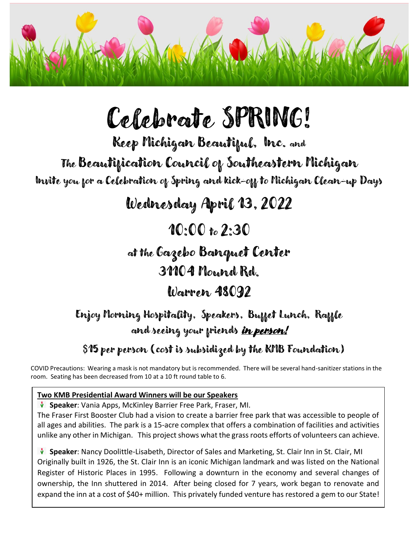

# Celebrate SPRING!

Keep Michigan Beautiful, Inc. and

The Beautification Council of Southeastern Michigan

Invite you for a Celebration of Spring and kick-off to Michigan Clean-up Days

Wednesday April 13,2022

10:00 to 2:30

at the Gazebo Banquet Center

31104 Mound Rd.

Warren 48092

### Enjoy Morning Hospitality, Speakers, Buffet Lunch, Raffle and seeing your priends <u>in person!</u>

### \$15 per person (cost is subsidized by the KMB Foundation)

COVID Precautions: Wearing a mask is not mandatory but is recommended. There will be several hand-sanitizer stations in the room. Seating has been decreased from 10 at a 10 ft round table to 6.

#### **Two KMB Presidential Award Winners will be our Speakers**

**Speaker**: Vania Apps, McKinley Barrier Free Park, Fraser, MI.

The Fraser First Booster Club had a vision to create a barrier free park that was accessible to people of all ages and abilities. The park is a 15-acre complex that offers a combination of facilities and activities unlike any other in Michigan. This project shows what the grass roots efforts of volunteers can achieve.

**Speaker**: Nancy Doolittle-Lisabeth, Director of Sales and Marketing, St. Clair Inn in St. Clair, MI Originally built in 1926, the St. Clair Inn is an iconic Michigan landmark and was listed on the National Register of Historic Places in 1995. Following a downturn in the economy and several changes of ownership, the Inn shuttered in 2014. After being closed for 7 years, work began to renovate and expand the inn at a cost of \$40+ million. This privately funded venture has restored a gem to our State!